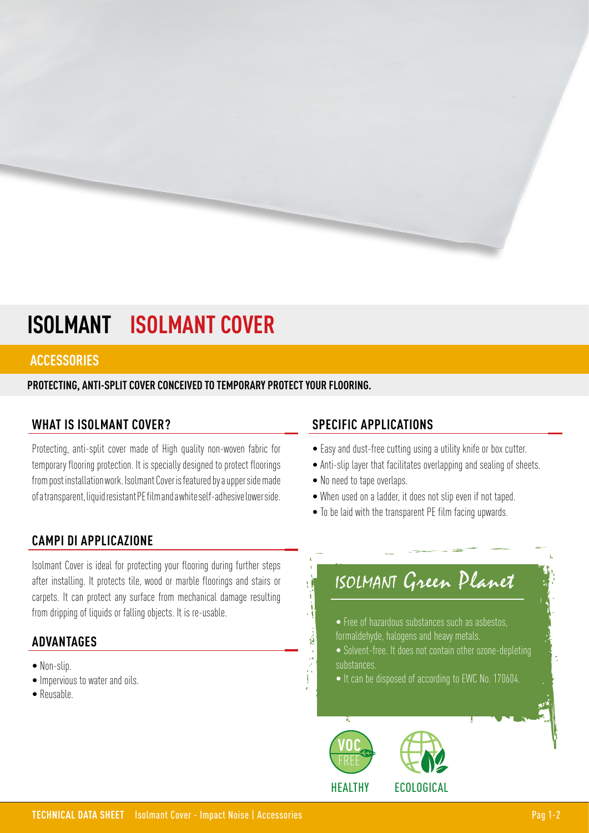# **ISOLMANT ISOLMANT COVER**

### **ACCESSORIES**

**PROTECTING, ANTI-SPLIT COVER CONCEIVED TO TEMPORARY PROTECT YOUR FLOORING.**

## **WHAT IS ISOLMANT COVER?**

Protecting, anti-split cover made of High quality non-woven fabric for temporary flooring protection. It is specially designed to protect floorings from post installation work. Isolmant Cover is featured by a upper side made of a transparent, liquid resistant PE film and a white self-adhesive lower side.

## **CAMPI DI APPLICAZIONE**

Isolmant Cover is ideal for protecting your flooring during further steps after installing. It protects tile, wood or marble floorings and stairs or carpets. It can protect any surface from mechanical damage resulting from dripping of liquids or falling objects. It is re-usable.

## **ADVANTAGES**

- Non-slip.
- Impervious to water and oils.
- Reusable.

## **SPECIFIC APPLICATIONS**

- Easy and dust-free cutting using a utility knife or box cutter.
- Anti-slip layer that facilitates overlapping and sealing of sheets.
- No need to tape overlaps.
- When used on a ladder, it does not slip even if not taped.
- To be laid with the transparent PE film facing upwards.

# ISOLMANT Green Planet

- Free of hazardous substances such as asbestos, formaldehyde, halogens and heavy metals.
- Solvent-free. It does not contain other ozone-depleting substances.
- It can be disposed of according to EWC No. 170604.



追溯

一次的



HEALTHY ECOLOGICAL